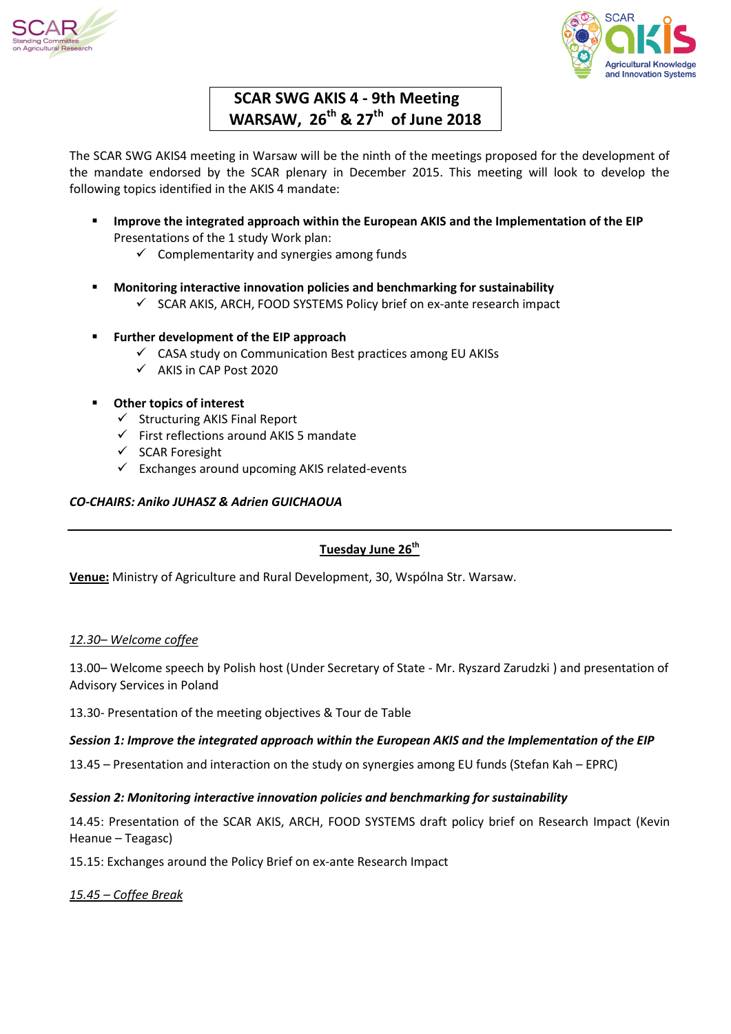



# **SCAR SWG AKIS 4 - 9th Meeting WARSAW, 26th & 27th of June 2018**

The SCAR SWG AKIS4 meeting in Warsaw will be the ninth of the meetings proposed for the development of the mandate endorsed by the SCAR plenary in December 2015. This meeting will look to develop the following topics identified in the AKIS 4 mandate:

- **Improve the integrated approach within the European AKIS and the Implementation of the EIP** Presentations of the 1 study Work plan:
	- $\checkmark$  Complementarity and synergies among funds
- **Monitoring interactive innovation policies and benchmarking for sustainability**
	- $\checkmark$  SCAR AKIS, ARCH, FOOD SYSTEMS Policy brief on ex-ante research impact
- **Further development of the EIP approach**
	- $\checkmark$  CASA study on Communication Best practices among EU AKISs
	- $\checkmark$  AKIS in CAP Post 2020
- **Other topics of interest**
	- $\checkmark$  Structuring AKIS Final Report
	- $\checkmark$  First reflections around AKIS 5 mandate
	- $\checkmark$  SCAR Foresight
	- $\checkmark$  Exchanges around upcoming AKIS related-events

# *CO-CHAIRS: Aniko JUHASZ & Adrien GUICHAOUA*

# **Tuesday June 26th**

**Venue:** Ministry of Agriculture and Rural Development, 30, Wspólna Str. Warsaw.

# *12.30– Welcome coffee*

13.00– Welcome speech by Polish host (Under Secretary of State - Mr. Ryszard Zarudzki ) and presentation of Advisory Services in Poland

13.30- Presentation of the meeting objectives & Tour de Table

# *Session 1: Improve the integrated approach within the European AKIS and the Implementation of the EIP*

13.45 – Presentation and interaction on the study on synergies among EU funds (Stefan Kah – EPRC)

# *Session 2: Monitoring interactive innovation policies and benchmarking for sustainability*

14.45: Presentation of the SCAR AKIS, ARCH, FOOD SYSTEMS draft policy brief on Research Impact (Kevin Heanue – Teagasc)

15.15: Exchanges around the Policy Brief on ex-ante Research Impact

*15.45 – Coffee Break*